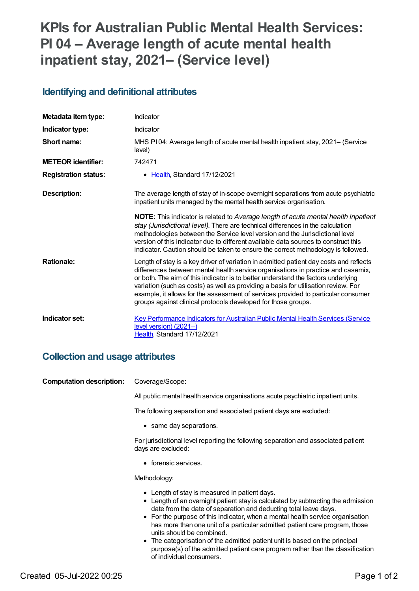# **KPIs for Australian Public Mental Health Services: PI 04 – Average length of acute mental health inpatient stay, 2021– (Service level)**

#### **Identifying and definitional attributes**

| Metadata item type:         | Indicator                                                                                                                                                                                                                                                                                                                                                                                                                                                                                                   |
|-----------------------------|-------------------------------------------------------------------------------------------------------------------------------------------------------------------------------------------------------------------------------------------------------------------------------------------------------------------------------------------------------------------------------------------------------------------------------------------------------------------------------------------------------------|
| Indicator type:             | Indicator                                                                                                                                                                                                                                                                                                                                                                                                                                                                                                   |
| Short name:                 | MHS PI04: Average length of acute mental health inpatient stay, 2021– (Service<br>level)                                                                                                                                                                                                                                                                                                                                                                                                                    |
| <b>METEOR identifier:</b>   | 742471                                                                                                                                                                                                                                                                                                                                                                                                                                                                                                      |
| <b>Registration status:</b> | • Health, Standard 17/12/2021                                                                                                                                                                                                                                                                                                                                                                                                                                                                               |
| Description:                | The average length of stay of in-scope overnight separations from acute psychiatric<br>inpatient units managed by the mental health service organisation.                                                                                                                                                                                                                                                                                                                                                   |
|                             | <b>NOTE:</b> This indicator is related to Average length of acute mental health inpatient<br>stay (Jurisdictional level). There are technical differences in the calculation<br>methodologies between the Service level version and the Jurisdictional level<br>version of this indicator due to different available data sources to construct this<br>indicator. Caution should be taken to ensure the correct methodology is followed.                                                                    |
| <b>Rationale:</b>           | Length of stay is a key driver of variation in admitted patient day costs and reflects<br>differences between mental health service organisations in practice and casemix,<br>or both. The aim of this indicator is to better understand the factors underlying<br>variation (such as costs) as well as providing a basis for utilisation review. For<br>example, it allows for the assessment of services provided to particular consumer<br>groups against clinical protocols developed for those groups. |
| Indicator set:              | <b>Key Performance Indicators for Australian Public Mental Health Services (Service</b><br>level version) (2021-)<br>Health, Standard 17/12/2021                                                                                                                                                                                                                                                                                                                                                            |

### **Collection and usage attributes**

| <b>Computation description:</b> | Coverage/Scope:                                                                                                                                                                                                                                                                                                                                                                                                                                                                                                                                                                                  |
|---------------------------------|--------------------------------------------------------------------------------------------------------------------------------------------------------------------------------------------------------------------------------------------------------------------------------------------------------------------------------------------------------------------------------------------------------------------------------------------------------------------------------------------------------------------------------------------------------------------------------------------------|
|                                 | All public mental health service organisations acute psychiatric inpatient units.                                                                                                                                                                                                                                                                                                                                                                                                                                                                                                                |
|                                 | The following separation and associated patient days are excluded:                                                                                                                                                                                                                                                                                                                                                                                                                                                                                                                               |
|                                 | • same day separations.                                                                                                                                                                                                                                                                                                                                                                                                                                                                                                                                                                          |
|                                 | For jurisdictional level reporting the following separation and associated patient<br>days are excluded:                                                                                                                                                                                                                                                                                                                                                                                                                                                                                         |
|                                 | • forensic services.                                                                                                                                                                                                                                                                                                                                                                                                                                                                                                                                                                             |
|                                 | Methodology:                                                                                                                                                                                                                                                                                                                                                                                                                                                                                                                                                                                     |
|                                 | • Length of stay is measured in patient days.<br>• Length of an overnight patient stay is calculated by subtracting the admission<br>date from the date of separation and deducting total leave days.<br>• For the purpose of this indicator, when a mental health service organisation<br>has more than one unit of a particular admitted patient care program, those<br>units should be combined.<br>• The categorisation of the admitted patient unit is based on the principal<br>purpose(s) of the admitted patient care program rather than the classification<br>of individual consumers. |